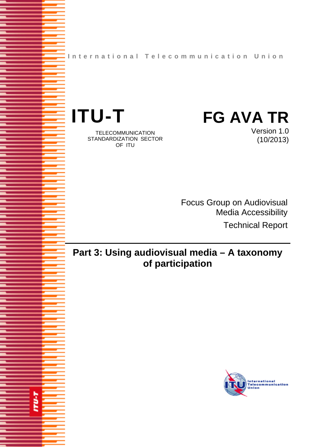**International Telecommunication Union**



š

TELECOMMUNICATION STANDARDIZATION SECTOR OF ITU

Version 1.0 (10/2013)

Focus Group on Audiovisual Media Accessibility Technical Report

# **Part 3: Using audiovisual media – A taxonomy of participation**

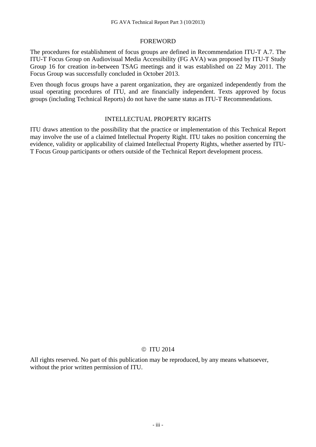#### FOREWORD

The procedures for establishment of focus groups are defined in Recommendation ITU-T A.7. The ITU-T Focus Group on Audiovisual Media Accessibility (FG AVA) was proposed by ITU-T Study Group 16 for creation in-between TSAG meetings and it was established on 22 May 2011. The Focus Group was successfully concluded in October 2013.

Even though focus groups have a parent organization, they are organized independently from the usual operating procedures of ITU, and are financially independent. Texts approved by focus groups (including Technical Reports) do not have the same status as ITU-T Recommendations.

#### INTELLECTUAL PROPERTY RIGHTS

ITU draws attention to the possibility that the practice or implementation of this Technical Report may involve the use of a claimed Intellectual Property Right. ITU takes no position concerning the evidence, validity or applicability of claimed Intellectual Property Rights, whether asserted by ITU-T Focus Group participants or others outside of the Technical Report development process.

#### © ITU 2014

All rights reserved. No part of this publication may be reproduced, by any means whatsoever, without the prior written permission of ITU.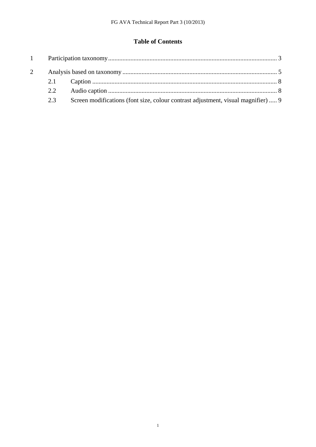## **Table of Contents**

| 2 |     |                                                                                   |  |
|---|-----|-----------------------------------------------------------------------------------|--|
|   |     |                                                                                   |  |
|   | 2.2 |                                                                                   |  |
|   | 2.3 | Screen modifications (font size, colour contrast adjustment, visual magnifier)  9 |  |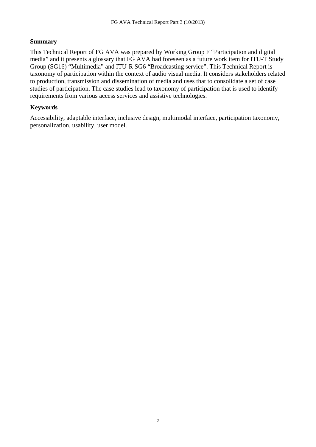### **Summary**

This Technical Report of FG AVA was prepared by Working Group F "Participation and digital media" and it presents a glossary that FG AVA had foreseen as a future work item for ITU-T Study Group (SG16) "Multimedia" and ITU-R SG6 "Broadcasting service". This Technical Report is taxonomy of participation within the context of audio visual media. It considers stakeholders related to production, transmission and dissemination of media and uses that to consolidate a set of case studies of participation. The case studies lead to taxonomy of participation that is used to identify requirements from various access services and assistive technologies.

### **Keywords**

Accessibility, adaptable interface, inclusive design, multimodal interface, participation taxonomy, personalization, usability, user model.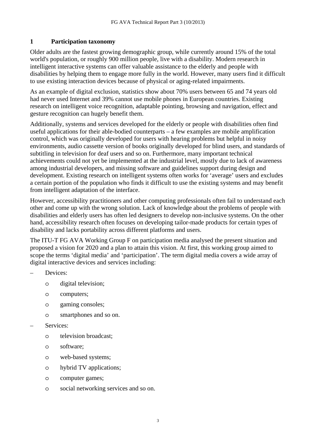### **1 Participation taxonomy**

Older adults are the fastest growing demographic group, while currently around 15% of the total world's population, or roughly 900 million people, live with a disability. Modern research in intelligent interactive systems can offer valuable assistance to the elderly and people with disabilities by helping them to engage more fully in the world. However, many users find it difficult to use existing interaction devices because of physical or aging-related impairments.

As an example of digital exclusion, statistics show about 70% users between 65 and 74 years old had never used Internet and 39% cannot use mobile phones in European countries. Existing research on intelligent voice recognition, adaptable pointing, browsing and navigation, effect and gesture recognition can hugely benefit them.

Additionally, systems and services developed for the elderly or people with disabilities often find useful applications for their able-bodied counterparts – a few examples are mobile amplification control, which was originally developed for users with hearing problems but helpful in noisy environments, audio cassette version of books originally developed for blind users, and standards of subtitling in television for deaf users and so on. Furthermore, many important technical achievements could not yet be implemented at the industrial level, mostly due to lack of awareness among industrial developers, and missing software and guidelines support during design and development. Existing research on intelligent systems often works for 'average' users and excludes a certain portion of the population who finds it difficult to use the existing systems and may benefit from intelligent adaptation of the interface.

However, accessibility practitioners and other computing professionals often fail to understand each other and come up with the wrong solution. Lack of knowledge about the problems of people with disabilities and elderly users has often led designers to develop non-inclusive systems. On the other hand, accessibility research often focuses on developing tailor-made products for certain types of disability and lacks portability across different platforms and users.

The ITU-T FG AVA Working Group F on participation media analysed the present situation and proposed a vision for 2020 and a plan to attain this vision. At first, this working group aimed to scope the terms 'digital media' and 'participation'. The term digital media covers a wide array of digital interactive devices and services including:

- Devices:
	- o digital television;
	- o computers;
	- o gaming consoles;
	- o smartphones and so on.
- Services:
	- o television broadcast;
	- o software;
	- o web-based systems;
	- o hybrid TV applications;
	- o computer games;
	- o social networking services and so on.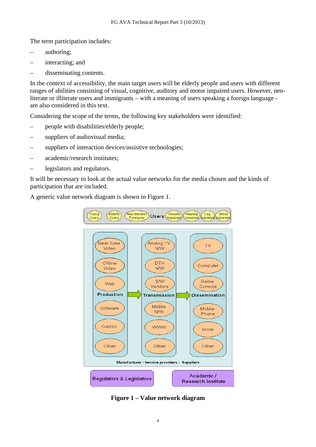The term participation includes:

- authoring;
- interacting; and
- disseminating contents.

In the context of accessibility, the main target users will be elderly people and users with different ranges of abilities consisting of visual, cognitive, auditory and motor impaired users. However, neoliterate or illiterate users and immigrants – with a meaning of users speaking a foreign language are also considered in this text.

Considering the scope of the terms, the following key stakeholders were identified:

- people with disabilities/elderly people;
- suppliers of audiovisual media:
- suppliers of interaction devices/assistive technologies;
- academic/research institutes;
- legislators and regulators.

It will be necessary to look at the actual value networks for the media chosen and the kinds of participation that are included.

A generic value network diagram is shown in Figure 1.



**Figure 1 – Value network diagram**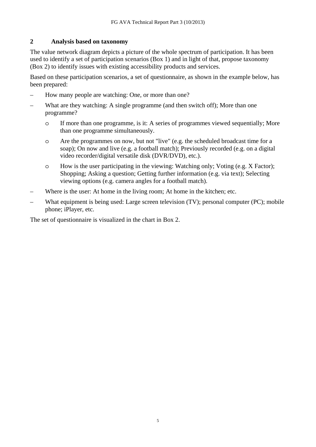#### **2 Analysis based on taxonomy**

The value network diagram depicts a picture of the whole spectrum of participation. It has been used to identify a set of participation scenarios (Box 1) and in light of that, propose taxonomy (Box 2) to identify issues with existing accessibility products and services.

Based on these participation scenarios, a set of questionnaire, as shown in the example below, has been prepared:

- How many people are watching: One, or more than one?
- What are they watching: A single programme (and then switch off); More than one programme?
	- o If more than one programme, is it: A series of programmes viewed sequentially; More than one programme simultaneously.
	- o Are the programmes on now, but not "live" (e.g. the scheduled broadcast time for a soap); On now and live (e.g. a football match); Previously recorded (e.g. on a digital video recorder/digital versatile disk (DVR/DVD), etc.).
	- o How is the user participating in the viewing: Watching only; Voting (e.g. X Factor); Shopping; Asking a question; Getting further information (e.g. via text); Selecting viewing options (e.g. camera angles for a football match).
- Where is the user: At home in the living room; At home in the kitchen; etc.
- What equipment is being used: Large screen television (TV); personal computer (PC); mobile phone; iPlayer, etc.

The set of questionnaire is visualized in the chart in Box 2.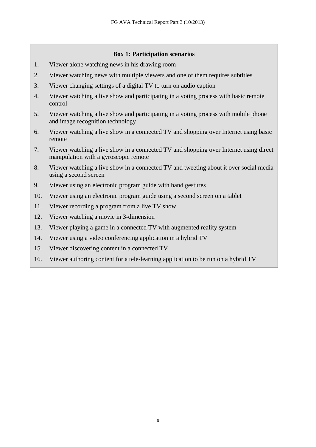#### **Box 1: Participation scenarios**

- 1. Viewer alone watching news in his drawing room
- 2. Viewer watching news with multiple viewers and one of them requires subtitles
- 3. Viewer changing settings of a digital TV to turn on audio caption
- 4. Viewer watching a live show and participating in a voting process with basic remote control
- 5. Viewer watching a live show and participating in a voting process with mobile phone and image recognition technology
- 6. Viewer watching a live show in a connected TV and shopping over Internet using basic remote
- 7. Viewer watching a live show in a connected TV and shopping over Internet using direct manipulation with a gyroscopic remote
- 8. Viewer watching a live show in a connected TV and tweeting about it over social media using a second screen
- 9. Viewer using an electronic program guide with hand gestures
- 10. Viewer using an electronic program guide using a second screen on a tablet
- 11. Viewer recording a program from a live TV show
- 12. Viewer watching a movie in 3-dimension
- 13. Viewer playing a game in a connected TV with augmented reality system
- 14. Viewer using a video conferencing application in a hybrid TV
- 15. Viewer discovering content in a connected TV
- 16. Viewer authoring content for a tele-learning application to be run on a hybrid TV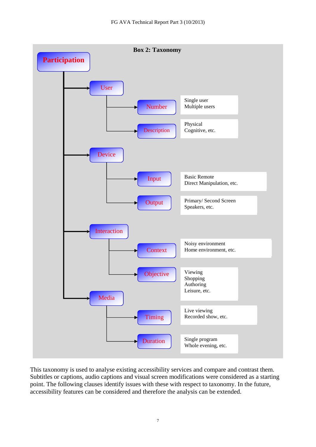

This taxonomy is used to analyse existing accessibility services and compare and contrast them. Subtitles or captions, audio captions and visual screen modifications were considered as a starting point. The following clauses identify issues with these with respect to taxonomy. In the future, accessibility features can be considered and therefore the analysis can be extended.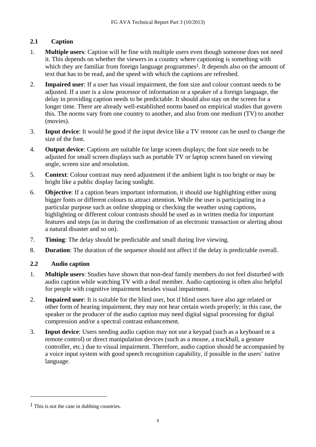## **2.1 Caption**

- 1. **Multiple users**: Caption will be fine with multiple users even though someone does not need it. This depends on whether the viewers in a country where captioning is something with which they are familiar from foreign language programmes<sup>1</sup>. It depends also on the amount of text that has to be read, and the speed with which the captions are refreshed.
- 2. **Impaired user**: If a user has visual impairment, the font size and colour contrast needs to be adjusted. If a user is a slow processor of information or a speaker of a foreign language, the delay in providing caption needs to be predictable. It should also stay on the screen for a longer time. There are already well-established norms based on empirical studies that govern this. The norms vary from one country to another, and also from one medium (TV) to another (movies).
- 3. **Input device**: It would be good if the input device like a TV remote can be used to change the size of the font.
- 4. **Output device**: Captions are suitable for large screen displays; the font size needs to be adjusted for small screen displays such as portable TV or laptop screen based on viewing angle, screen size and resolution.
- 5. **Context**: Colour contrast may need adjustment if the ambient light is too bright or may be bright like a public display facing sunlight.
- 6. **Objective**: If a caption bears important information, it should use highlighting either using bigger fonts or different colours to attract attention. While the user is participating in a particular purpose such as online shopping or checking the weather using captions, highlighting or different colour contrasts should be used as in written media for important features and steps (as in during the confirmation of an electronic transaction or alerting about a natural disaster and so on).
- 7. **Timing**: The delay should be predictable and small during live viewing.
- 8. **Duration**: The duration of the sequence should not affect if the delay is predictable overall.

## **2.2 Audio caption**

- 1. **Multiple users**: Studies have shown that non-deaf family members do not feel disturbed with audio caption while watching TV with a deaf member. Audio captioning is often also helpful for people with cognitive impairment besides visual impairment.
- 2. **Impaired user**: It is suitable for the blind user, but if blind users have also age related or other form of hearing impairment, they may not hear certain words properly; in this case, the speaker or the producer of the audio caption may need digital signal processing for digital compression and/or a spectral contrast enhancement.
- 3. **Input device**: Users needing audio caption may not use a keypad (such as a keyboard or a remote control) or direct manipulation devices (such as a mouse, a trackball, a gesture controller, etc.) due to visual impairment. Therefore, audio caption should be accompanied by a voice input system with good speech recognition capability, if possible in the users' native language.

 $\overline{a}$ 

 $<sup>1</sup>$  This is not the case in dubbing countries.</sup>